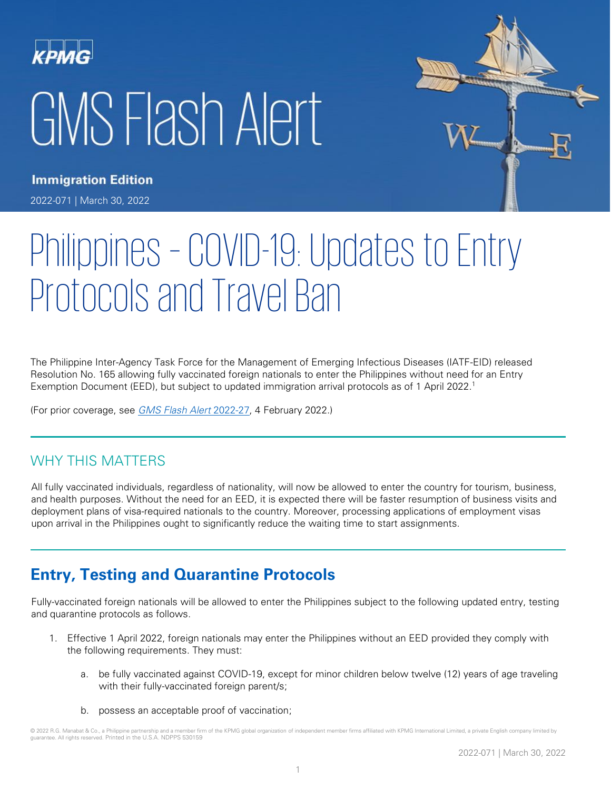# GMS Flash Alert



**Immigration Edition** 

2022-071 | March 30, 2022

# Philippines – COVID-19: Updates to Entry Protocols and Travel Ban

The Philippine Inter-Agency Task Force for the Management of Emerging Infectious Diseases (IATF-EID) released Resolution No. 165 allowing fully vaccinated foreign nationals to enter the Philippines without need for an Entry Exemption Document (EED), but subject to updated immigration arrival protocols as of 1 April 2022. 1

(For prior coverage, see [GMS Flash Alert](https://home.kpmg/xx/en/home/insights/2022/02/flash-alert-2022-027.html) 2022-27, 4 February 2022.)

# WHY THIS MATTERS

All fully vaccinated individuals, regardless of nationality, will now be allowed to enter the country for tourism, business, and health purposes. Without the need for an EED, it is expected there will be faster resumption of business visits and deployment plans of visa-required nationals to the country. Moreover, processing applications of employment visas upon arrival in the Philippines ought to significantly reduce the waiting time to start assignments.

# **Entry, Testing and Quarantine Protocols**

Fully-vaccinated foreign nationals will be allowed to enter the Philippines subject to the following updated entry, testing and quarantine protocols as follows.

- 1. Effective 1 April 2022, foreign nationals may enter the Philippines without an EED provided they comply with the following requirements. They must:
	- a. be fully vaccinated against COVID-19, except for minor children below twelve (12) years of age traveling with their fully-vaccinated foreign parent/s;
	- b. possess an acceptable proof of vaccination;

<sup>© 2022</sup> R.G. Manabat & Co., a Philippine partnership and a member firm of the KPMG global organization of independent member firms affiliated with KPMG International Limited, a private English company limited by guarantee. All rights reserved. Printed in the U.S.A. NDPPS 530159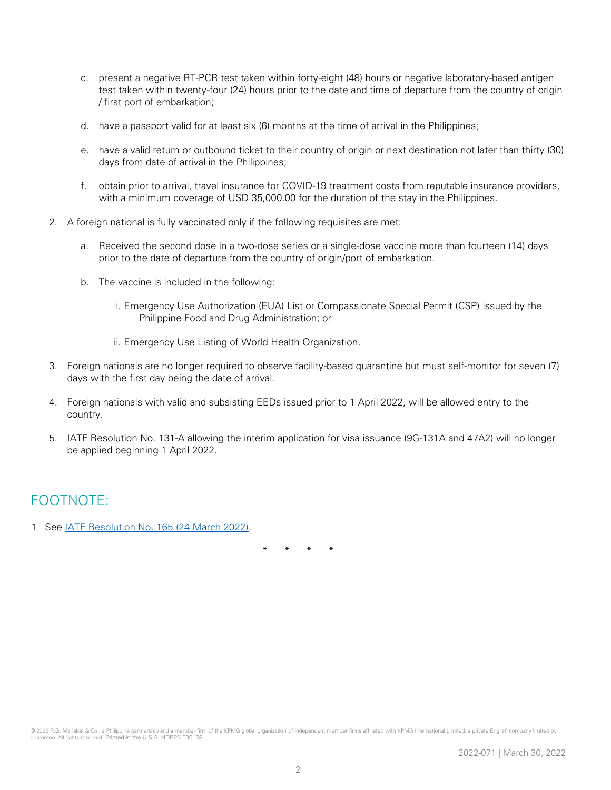- c. present a negative RT-PCR test taken within forty-eight (48) hours or negative laboratory-based antigen test taken within twenty-four (24) hours prior to the date and time of departure from the country of origin / first port of embarkation;
- d. have a passport valid for at least six (6) months at the time of arrival in the Philippines;
- e. have a valid return or outbound ticket to their country of origin or next destination not later than thirty (30) days from date of arrival in the Philippines;
- f. obtain prior to arrival, travel insurance for COVID-19 treatment costs from reputable insurance providers, with a minimum coverage of USD 35,000.00 for the duration of the stay in the Philippines.
- 2. A foreign national is fully vaccinated only if the following requisites are met:
	- a. Received the second dose in a two-dose series or a single-dose vaccine more than fourteen (14) days prior to the date of departure from the country of origin/port of embarkation.
	- b. The vaccine is included in the following:
		- i. Emergency Use Authorization (EUA) List or Compassionate Special Permit (CSP) issued by the Philippine Food and Drug Administration; or
		- ii. Emergency Use Listing of World Health Organization.
- 3. Foreign nationals are no longer required to observe facility-based quarantine but must self-monitor for seven (7) days with the first day being the date of arrival.
- 4. Foreign nationals with valid and subsisting EEDs issued prior to 1 April 2022, will be allowed entry to the country.
- 5. IATF Resolution No. 131-A allowing the interim application for visa issuance (9G-131A and 47A2) will no longer be applied beginning 1 April 2022.

## FOOTNOTE:

1 See [IATF Resolution No. 165](https://doh.gov.ph/sites/default/files/health-update/IATFResolution165.pdf) (24 March 2022).

\* \* \* \*